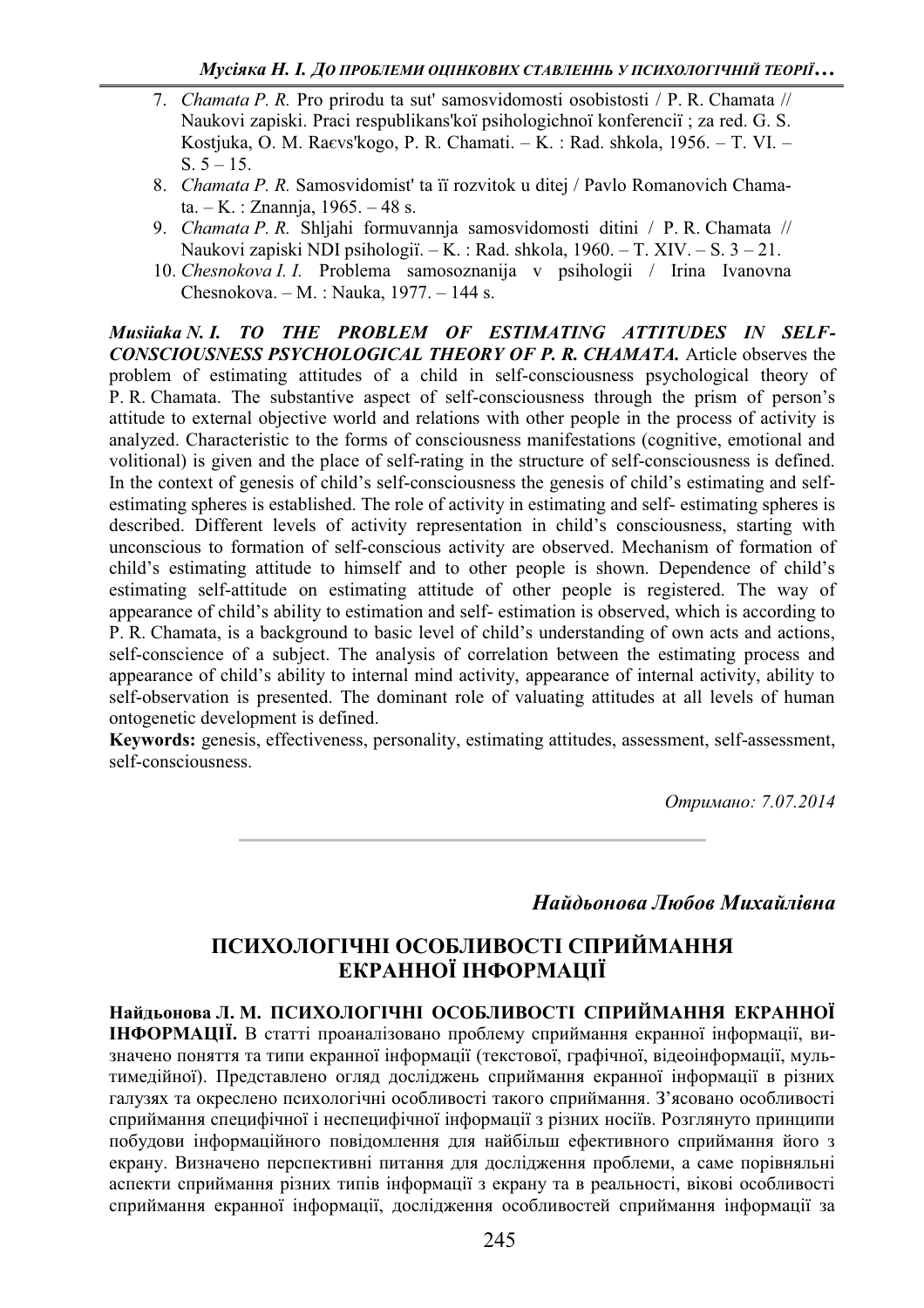- 7. *Chamata P. R.* Pro prirodu ta sut' samosvidomosti osobistosti / P. R. Chamata // Naukovi zapiski. Praci respublikans'koï psihologichnoï konferenciï ; za red. G. S. Kostjuka, O. M. Ra $\epsilon$ vs'kogo, P. R. Chamati. – K. : Rad. shkola, 1956. – T. VI. – S.  $5 - 15$ .
- 8. Chamata P. R. Samosvidomist' ta ii rozvitok u ditej / Pavlo Romanovich Chama $ta. - K.$ : Znannia, 1965.  $-48$  s.
- 9. *Chamata P. R.* Shljahi formuvannja samosvidomosti ditini / P. R. Chamata // Naukovi zapiski NDI psihologii.  $-K$ .: Rad. shkola, 1960.  $-T$ . XIV.  $-S$ . 3  $-21$ .
- 10. *Chesnokova I. I.* Problema samosoznanija v psihologii / Irina Ivanovna Chesnokova.  $-M.$ : Nauka, 1977.  $-144$  s.

*Musiiaka N. I. TO THE PROBLEM OF ESTIMATING ATTITUDES IN SELF-CONSCIOUSNESS PSYCHOLOGICAL THEORY OF P. R. CHAMATA.* Article observes the problem of estimating attitudes of a child in self-consciousness psychological theory of P. R. Chamata. The substantive aspect of self-consciousness through the prism of person's attitude to external objective world and relations with other people in the process of activity is analyzed. Characteristic to the forms of consciousness manifestations (cognitive, emotional and volitional) is given and the place of self-rating in the structure of self-consciousness is defined. In the context of genesis of child's self-consciousness the genesis of child's estimating and selfestimating spheres is established. The role of activity in estimating and self- estimating spheres is described. Different levels of activity representation in child's consciousness, starting with unconscious to formation of self-conscious activity are observed. Mechanism of formation of child's estimating attitude to himself and to other people is shown. Dependence of child's estimating self-attitude on estimating attitude of other people is registered. The way of appearance of child's ability to estimation and self- estimation is observed, which is according to P. R. Chamata, is a background to basic level of child's understanding of own acts and actions, self-conscience of a subject. The analysis of correlation between the estimating process and appearance of child's ability to internal mind activity, appearance of internal activity, ability to self-observation is presented. The dominant role of valuating attitudes at all levels of human ontogenetic development is defined.

**Keywords:** genesis, effectiveness, personality, estimating attitudes, assessment, self-assessment, self-consciousness.

*Ɉɬɪɢɦɚɧɨ: 7.07.2014* 

## **Найдьонова Любов Михайлівна**

## **ɉɋɂɏɈɅɈȽȱɑɇȱ ɈɋɈȻɅɂȼɈɋɌȱ ɋɉɊɂɃɆȺɇɇə** ЕКРАННОЇ ІНФОРМАЦІЇ

Найльонова Л. М. ПСИХОЛОГІЧНІ ОСОБЛИВОСТІ СПРИЙМАННЯ ЕКРАННОЇ **ІНФОРМАЦІЇ.** В статті проаналізовано проблему сприймання екранної інформації, визначено поняття та типи екранної інформації (текстової, графічної, відеоінформації, мультимедійної). Представлено огляд досліджень сприймання екранної інформації в різних галузях та окреслено психологічні особливості такого сприймання. З'ясовано особливості сприймання специфічної і неспецифічної інформації з різних носіїв. Розглянуто принципи побудови інформаційного повідомлення для найбільш ефективного сприймання його з екрану. Визначено перспективні питання для дослідження проблеми, а саме порівняльні аспекти сприймання різних типів інформації з екрану та в реальності, вікові особливості сприймання екранної інформації, дослідження особливостей сприймання інформації за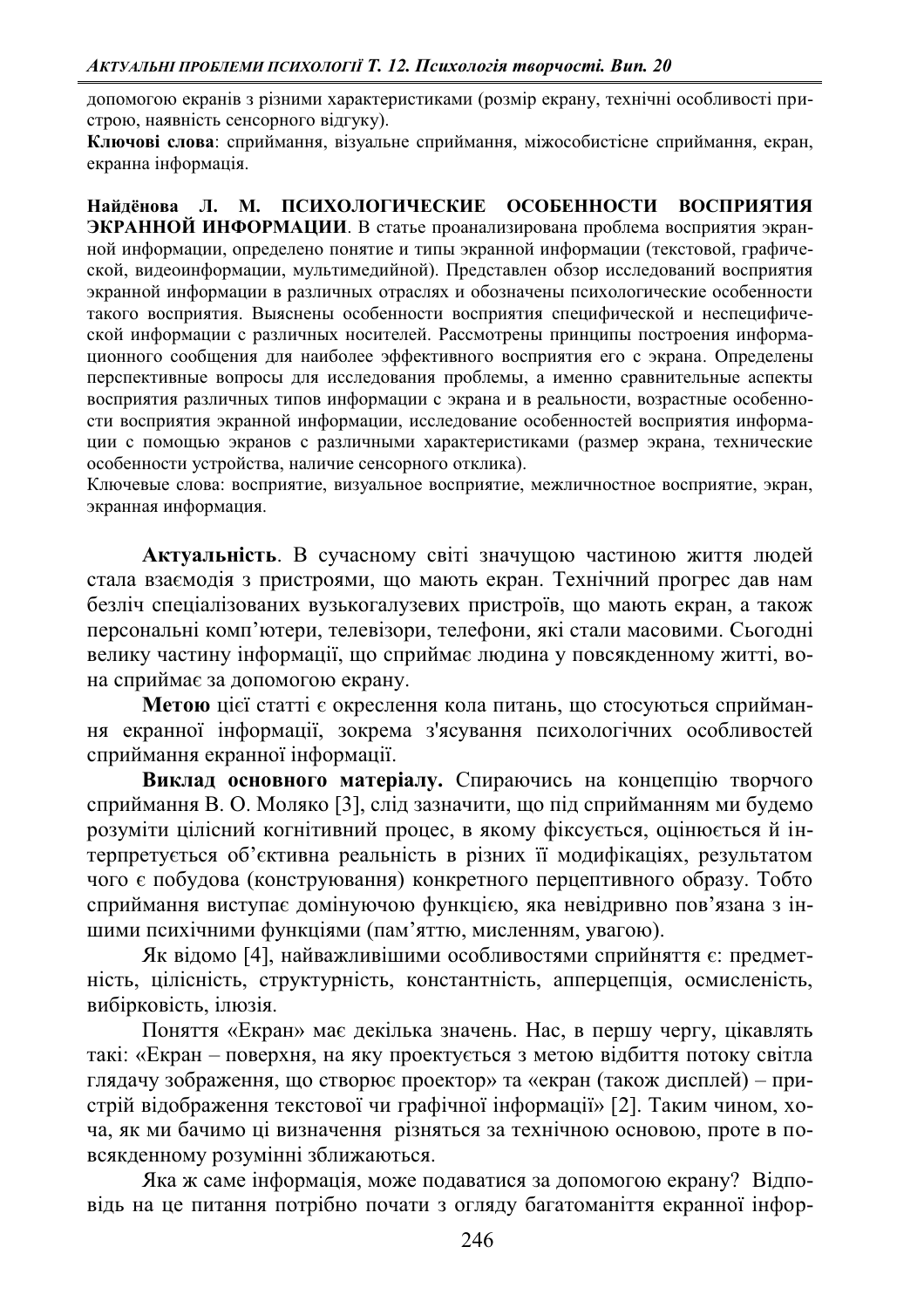допомогою екранів з різними характеристиками (розмір екрану, технічні особливості пристрою, наявність сенсорного відгуку).

Ключові слова: сприймання, візуальне сприймання, міжособистісне сприймання, екран, екранна інформація.

Найлёнова Л. М. ПСИХОЛОГИЧЕСКИЕ ОСОБЕННОСТИ ВОСПРИЯТИЯ ЭКРАННОЙ ИНФОРМАЦИИ. В статье проанализирована проблема восприятия экранной информации, определено понятие и типы экранной информации (текстовой, графической, видеоинформации, мультимелийной). Представлен обзор исследований восприятия экранной информации в различных отраслях и обозначены психологические особенности такого восприятия. Выяснены особенности восприятия специфической и неспецифической информации с различных носителей. Рассмотрены принципы построения информационного сообщения для наиболее эффективного восприятия его с экрана. Определены перспективные вопросы для исследования проблемы, а именно сравнительные аспекты восприятия различных типов информации с экрана и в реальности, возрастные особенности восприятия экранной информации, исследование особенностей восприятия информации с помощью экранов с различными характеристиками (размер экрана, технические особенности устройства, наличие сенсорного отклика).

Ключевые слова: восприятие, визуальное восприятие, межличностное восприятие, экран, экранная информация.

Актуальність. В сучасному світі значущою частиною життя людей стала взаємодія з пристроями, що мають екран. Технічний прогрес дав нам безліч спеціалізованих вузькогалузевих пристроїв, що мають екран, а також персональні комп'ютери, телевізори, телефони, які стали масовими. Сьогодні велику частину інформації, що сприймає людина у повсякденному житті, вона сприймає за допомогою екрану.

Метою цієї статті є окреслення кола питань, що стосуються сприймання екранної інформації, зокрема з'ясування психологічних особливостей сприймання екранної інформації.

Виклад основного матеріалу. Спираючись на концепцію творчого сприймання В. О. Моляко [3], слід зазначити, що під сприйманням ми будемо розуміти цілісний когнітивний процес, в якому фіксується, оцінюється й інтерпретується об'єктивна реальність в різних її модифікаціях, результатом чого є побудова (конструювання) конкретного перцептивного образу. Тобто сприймання виступає домінуючою функцією, яка невідривно пов'язана з іншими психічними функціями (пам'яттю, мисленням, увагою).

Як відомо [4], найважливішими особливостями сприйняття є: предметність, цілісність, структурність, константність, апперцепція, осмисленість, вибірковість, ілюзія.

Поняття «Екран» має декілька значень. Нас, в першу чергу, цікавлять такі: «Екран – поверхня, на яку проектується з метою відбиття потоку світла глядачу зображення, що створює проектор» та «екран (також дисплей) – пристрій відображення текстової чи графічної інформації» [2]. Таким чином, хоча, як ми бачимо ці визначення різняться за технічною основою, проте в повсякденному розумінні зближаються.

Яка ж саме інформація, може подаватися за допомогою екрану? Відповідь на це питання потрібно почати з огляду багатоманіття екранної інфор-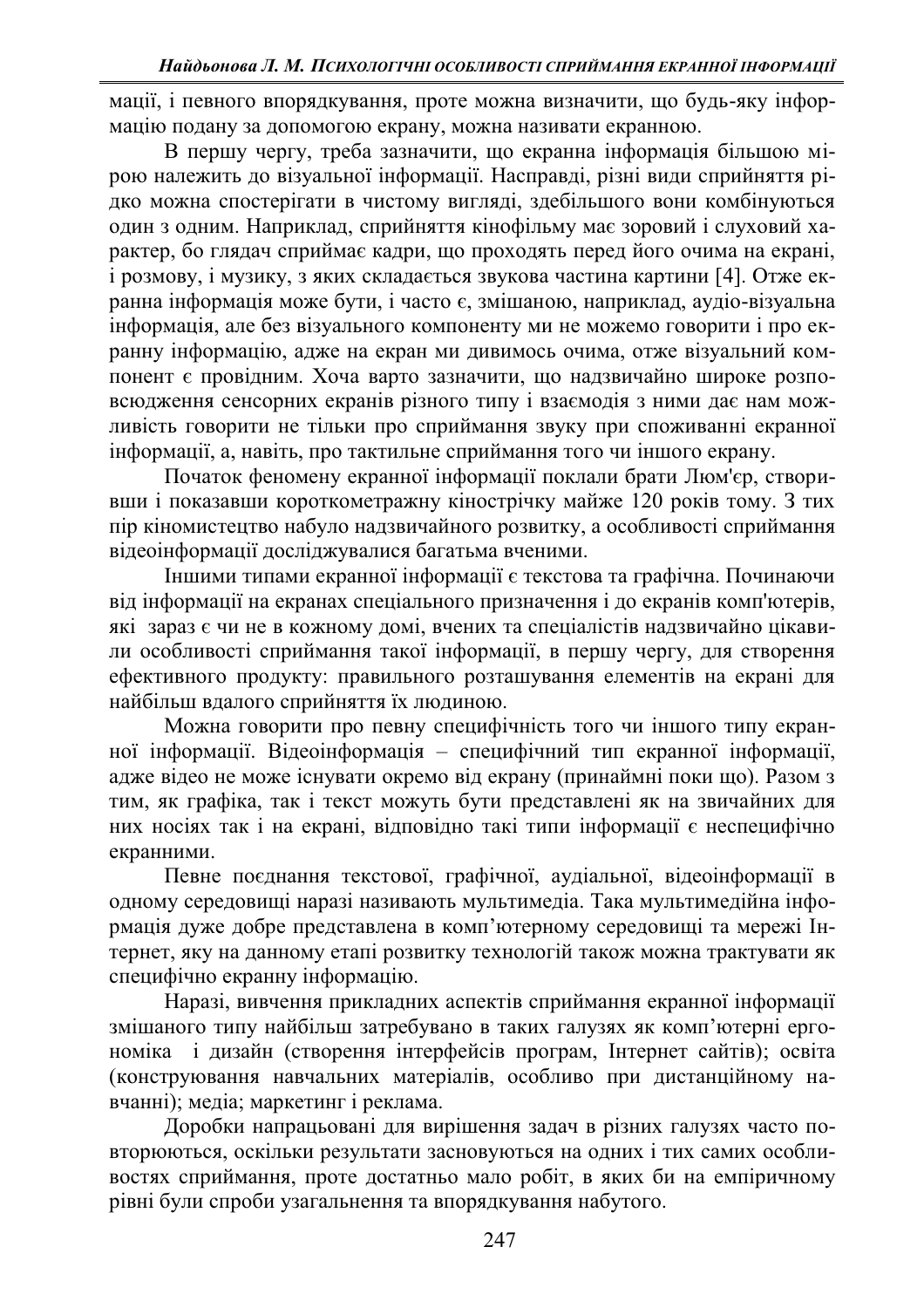мації, і певного впорядкування, проте можна визначити, що будь-яку інформацію подану за допомогою екрану, можна називати екранною.

В першу чергу, треба зазначити, що екранна інформація більшою мірою належить до візуальної інформації. Насправді, різні види сприйняття рідко можна спостерігати в чистому вигляді, здебільшого вони комбінуються один з одним. Наприклад, сприйняття кінофільму має зоровий і слуховий характер, бо глядач сприймає кадри, що проходять перед його очима на екрані, і розмову, і музику, з яких складається звукова частина картини [4]. Отже екранна інформація може бути, і часто є, змішаною, наприклад, аудіо-візуальна інформація, але без візуального компоненту ми не можемо говорити і про екранну інформацію, адже на екран ми дивимось очима, отже візуальний компонент є провідним. Хоча варто зазначити, що надзвичайно широке розповсюдження сенсорних екранів різного типу і взаємодія з ними дає нам можливість говорити не тільки про сприймання звуку при споживанні екранної інформації, а, навіть, про тактильне сприймання того чи іншого екрану.

Початок феномену екранної інформації поклали брати Люм'єр, створивши і показавши короткометражну кінострічку майже 120 років тому. З тих пір кіномистецтво набуло надзвичайного розвитку, а особливості сприймання відеоінформації досліджувалися багатьма вченими.

Іншими типами екранної інформації є текстова та графічна. Починаючи від інформації на екранах спеціального призначення і до екранів комп'ютерів, які зараз є чи не в кожному домі, вчених та спеціалістів надзвичайно цікавили особливості сприймання такої інформації, в першу чергу, для створення ефективного продукту: правильного розташування елементів на екрані для найбільш вдалого сприйняття їх людиною.

Можна говорити про певну специфічність того чи іншого типу екранної інформації. Відеоінформація - специфічний тип екранної інформації, адже відео не може існувати окремо від екрану (принаймні поки що). Разом з тим, як графіка, так і текст можуть бути представлені як на звичайних для них носіях так і на екрані, відповідно такі типи інформації є неспецифічно екранними.

Певне поєднання текстової, графічної, аудіальної, відеоінформації в одному середовищі наразі називають мультимедіа. Така мультимедійна інформація дуже добре представлена в комп'ютерному середовищі та мережі Інтернет, яку на данному етапі розвитку технологій також можна трактувати як специфічно екранну інформацію.

Наразі, вивчення прикладних аспектів сприймання екранної інформації змішаного типу найбільш затребувано в таких галузях як комп'ютерні ергономіка і дизайн (створення інтерфейсів програм, Інтернет сайтів); освіта (конструювання навчальних матеріалів, особливо при дистанційному навчанні); медіа; маркетинг і реклама.

Доробки напрацьовані для вирішення задач в різних галузях часто повторюються, оскільки результати засновуються на одних і тих самих особливостях сприймання, проте достатньо мало робіт, в яких би на емпіричному рівні були спроби узагальнення та впорядкування набутого.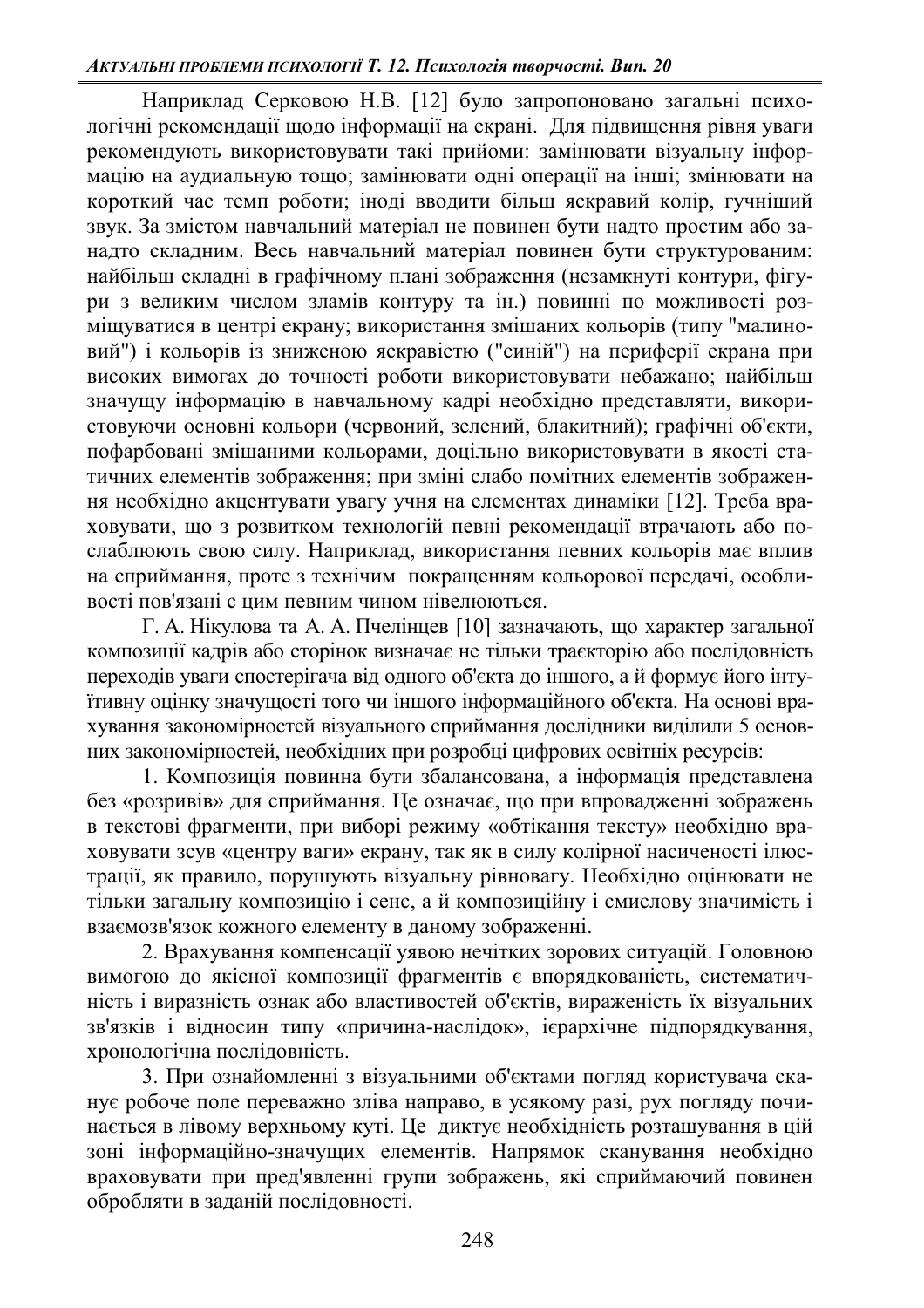Наприклад Серковою Н.В. [12] було запропоновано загальні психологічні рекомендації щодо інформації на екрані. Для підвищення рівня уваги рекомендують використовувати такі прийоми: замінювати візуальну інформацію на аудиальную тощо; замінювати одні операції на інші; змінювати на короткий час темп роботи; іноді вводити більш яскравий колір, гучніший звук. За змістом навчальний матеріал не повинен бути надто простим або заналто склалним. Весь навчальний матеріал повинен бути структурованим: найбільш складні в графічному плані зображення (незамкнуті контури, фігури з великим числом зламів контуру та ін.) повинні по можливості розміщуватися в центрі екрану; використання змішаних кольорів (типу "малиновий") і кольорів із зниженою яскравістю ("синій") на периферії екрана при високих вимогах до точності роботи використовувати небажано; найбільш значущу інформацію в навчальному кадрі необхідно представляти, використовуючи основні кольори (червоний, зелений, блакитний); графічні об'єкти, пофарбовані змішаними кольорами, доцільно використовувати в якості статичних елементів зображення; при зміні слабо помітних елементів зображення необхідно акцентувати увагу учня на елементах динаміки [12]. Треба враховувати, що з розвитком технологій певні рекомендації втрачають або послаблюють свою силу. Наприклад, використання певних кольорів має вплив на сприймання, проте з технічим покращенням кольорової передачі, особливості пов'язані с цим певним чином нівелюються.

Г. А. Нікулова та А. А. Пчелінцев [10] зазначають, що характер загальної композиції кадрів або сторінок визначає не тільки траєкторію або послідовність переходів уваги спостерігача від одного об'єкта до іншого, а й формує його інтуїтивну оцінку значущості того чи іншого інформаційного об'єкта. На основі врахування закономірностей візуального сприймання дослідники виділили 5 основних закономірностей, необхідних при розробці цифрових освітніх ресурсів:

1. Композиція повинна бути збалансована, а інформація представлена без «розривів» для сприймання. Це означає, що при впровадженні зображень в текстові фрагменти, при виборі режиму «обтікання тексту» необхідно враховувати зсув «центру ваги» екрану, так як в силу колірної насиченості ілюстрації, як правило, порушують візуальну рівновагу. Необхідно оцінювати не тільки загальну композицію і сенс, а й композиційну і смислову значимість і взаємозв'язок кожного елементу в даному зображенні.

2. Врахування компенсації уявою нечітких зорових ситуацій. Головною вимогою до якісної композиції фрагментів є впорядкованість, систематичність і виразність ознак або властивостей об'єктів, вираженість їх візуальних зв'язків і відносин типу «причина-наслідок», ієрархічне підпорядкування, хронологічна послідовність.

3. При ознайомленні з візуальними об'єктами погляд користувача сканує робоче поле переважно зліва направо, в усякому разі, рух погляду починається в лівому верхньому куті. Це диктує необхідність розташування в цій зоні інформаційно-значущих елементів. Напрямок сканування необхідно враховувати при пред'явленні групи зображень, які сприймаючий повинен обробляти в заланій посліловності.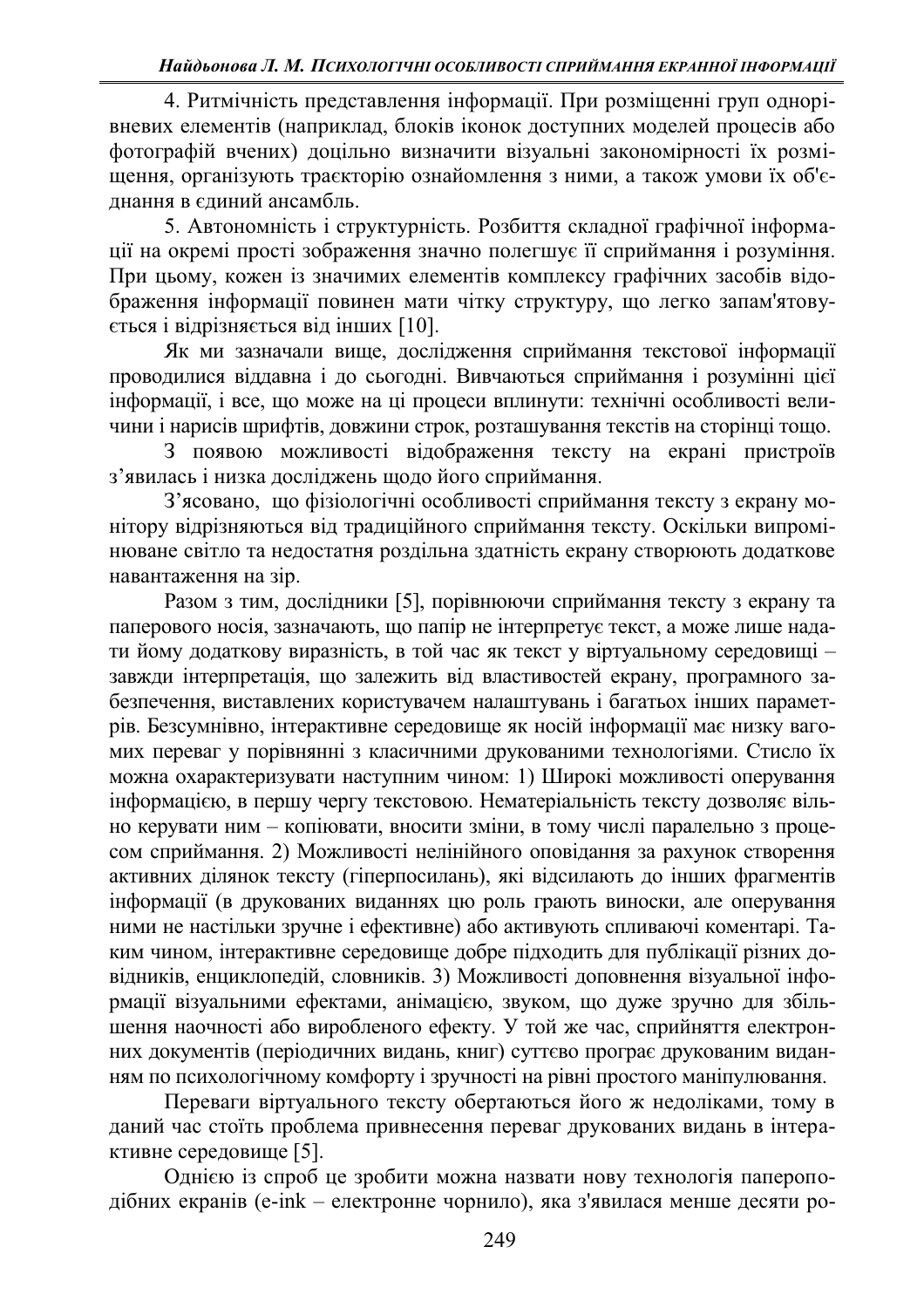4. Ритмічність представлення інформації. При розміщенні груп однорівневих елементів (наприклад, блоків іконок доступних моделей процесів або фотографій вчених) доцільно визначити візуальні закономірності їх розміщення, організують траєкторію ознайомлення з ними, а також умови їх об'єднання в єдиний ансамбль.

5. Автономність і структурність. Розбиття складної графічної інформаиії на окремі прості зображення значно полегшує її сприймання і розуміння. При цьому, кожен із значимих елементів комплексу графічних засобів відображення інформації повинен мати чітку структуру, що легко запам'ятовується і відрізняється від інших [10].

Як ми зазначали вище, дослідження сприймання текстової інформації проводилися віддавна і до сьогодні. Вивчаються сприймання і розумінні цієї інформації, і все, що може на ці процеси вплинути: технічні особливості величини і нарисів шрифтів, довжини строк, розташування текстів на сторінці тощо.

З появою можливості відображення тексту на екрані пристроїв з'явилась і низка досліджень щодо його сприймання.

З'ясовано, що фізіологічні особливості сприймання тексту з екрану монітору відрізняються від традиційного сприймання тексту. Оскільки випромінюване світло та недостатня роздільна здатність екрану створюють додаткове навантаження на зір.

Разом з тим, дослідники [5], порівнюючи сприймання тексту з екрану та паперового носія, зазначають, що папір не інтерпретує текст, а може лише надати йому додаткову виразність, в той час як текст у віртуальному середовищі завжди інтерпретація, що залежить від властивостей екрану, програмного забезпечення, виставлених користувачем налаштувань і багатьох інших параметрів. Безсумнівно, інтерактивне середовище як носій інформації має низку вагомих переваг у порівнянні з класичними друкованими технологіями. Стисло їх можна охарактеризувати наступним чином: 1) Широкі можливості оперування інформацією, в першу чергу текстовою. Нематеріальність тексту дозволяє вільно керувати ним - копіювати, вносити зміни, в тому числі паралельно з процесом сприймання. 2) Можливості нелінійного оповідання за рахунок створення активних ділянок тексту (гіперпосилань), які відсилають до інших фрагментів інформації (в друкованих виданнях цю роль грають виноски, але оперування ними не настільки зручне і ефективне) або активують спливаючі коментарі. Таким чином, інтерактивне середовище добре підходить для публікації різних довідників, енциклопедій, словників. 3) Можливості доповнення візуальної інформації візуальними ефектами, анімацією, звуком, що дуже зручно для збільнення наочності або виробленого ефекту. У той же час, сприйняття електронних документів (періодичних видань, книг) суттєво програє друкованим виданням по психологічному комфорту і зручності на рівні простого маніпулювання.

Переваги віртуального тексту обертаються його ж недоліками, тому в даний час стоїть проблема привнесення переваг друкованих видань в інтерактивне середовище [5].

Однією із спроб це зробити можна назвати нову технологія папероподібних екранів (e-ink – електронне чорнило), яка з'явилася менше десяти ро-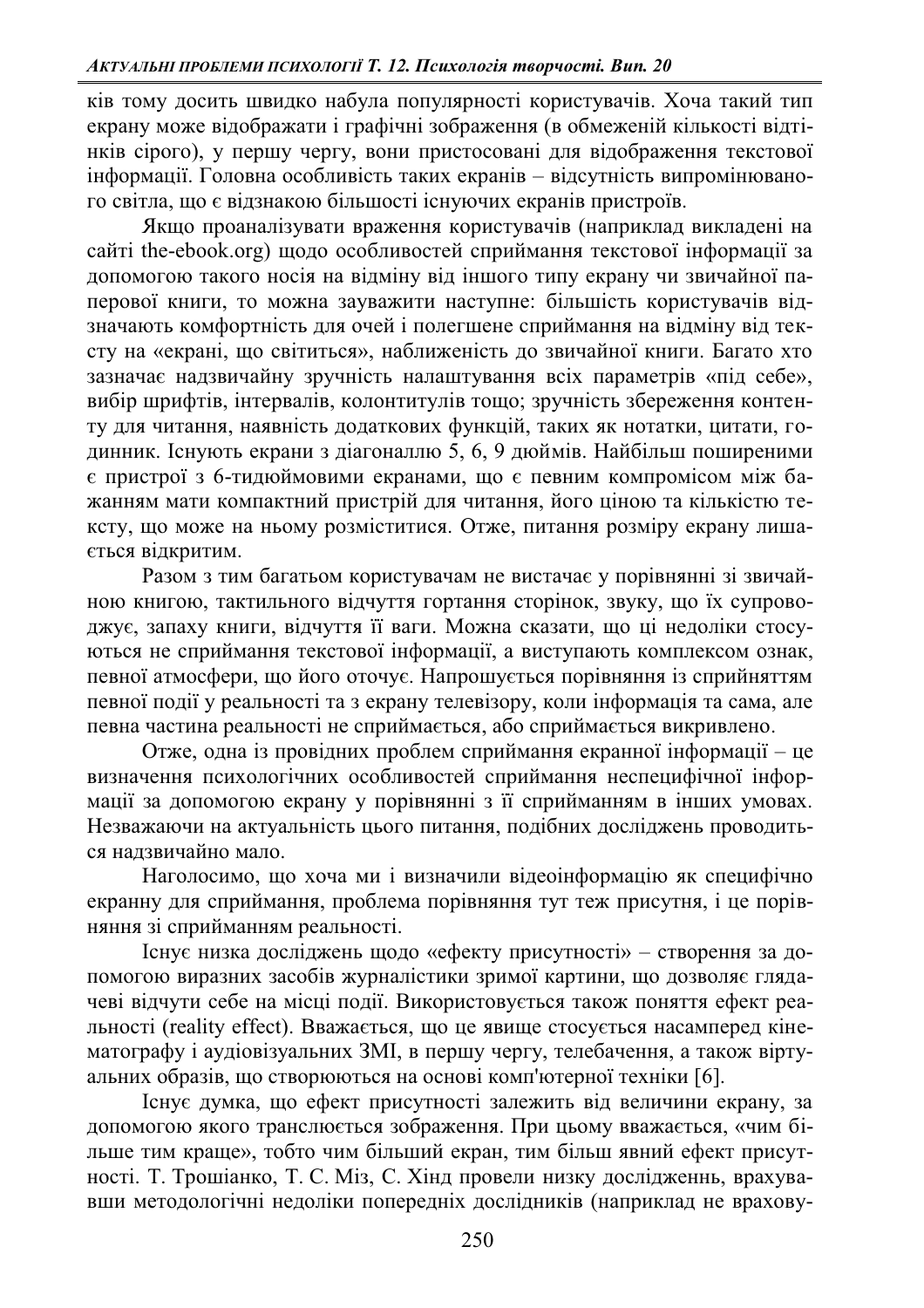ків тому досить швидко набула популярності користувачів. Хоча такий тип екрану може відображати і графічні зображення (в обмеженій кількості відтінків сірого), у першу чергу, вони пристосовані для відображення текстової інформації. Головна особливість таких екранів - відсутність випромінюваного світла, що є відзнакою більшості існуючих екранів пристроїв.

Якщо проаналізувати враження користувачів (наприклад викладені на сайті the-ebook.org) шоло особливостей сприймання текстової інформації за допомогою такого носія на відміну від іншого типу екрану чи звичайної паперової книги, то можна зауважити наступне: більшість користувачів відзначають комфортність для очей і полегшене сприймання на відміну від тексту на «екрані, що світиться», наближеність до звичайної книги. Багато хто зазначає надзвичайну зручність налаштування всіх параметрів «під себе», вибір шрифтів, інтервалів, колонтитулів тошо; зручність збереження контенту для читання, наявність додаткових функцій, таких як нотатки, цитати, годинник. Існують екрани з діагоналлю 5, 6, 9 дюймів. Найбільш поширеними є пристрої з 6-тидюймовими екранами, що є певним компромісом між бажанням мати компактний пристрій для читання, його ціною та кількістю тексту, що може на ньому розміститися. Отже, питання розміру екрану лиша-€ться відкритим.

Разом з тим багатьом користувачам не вистачає у порівнянні зі звичайною книгою, тактильного відчуття гортання сторінок, звуку, що їх супроводжує, запаху книги, відчуття її ваги. Можна сказати, що ці недоліки стосуються не сприймання текстової інформації, а виступають комплексом ознак, певної атмосфери, що його оточує. Напрошується порівняння із сприйняттям певної події у реальності та з екрану телевізору, коли інформація та сама, але певна частина реальності не сприймається, або сприймається викривлено.

Отже, одна із провідних проблем сприймання екранної інформації – це визначення психологічних особливостей сприймання неспецифічної інформації за допомогою екрану у порівнянні з її сприйманням в інших умовах. Незважаючи на актуальність цього питання, подібних досліджень проводиться надзвичайно мало.

Наголосимо, що хоча ми і визначили відеоінформацію як специфічно екранну для сприймання, проблема порівняння тут теж присутня, і це порівняння зі сприйманням реальності.

Існує низка досліджень щодо «ефекту присутності» - створення за допомогою виразних засобів журналістики зримої картини, що дозволяє глядачеві відчути себе на місці події. Використовується також поняття ефект реальності (reality effect). Вважається, що це явище стосується насамперед кінематографу і аудіовізуальних ЗМІ, в першу чергу, телебачення, а також віртуальних образів, що створюються на основі комп'ютерної техніки [6].

Гснує думка, що ефект присутності залежить від величини екрану, за допомогою якого транслюється зображення. При цьому вважається, «чим більше тим краще», тобто чим більший екран, тим більш явний ефект присутності. Т. Трошіанко, Т. С. Міз, С. Хінд провели низку дослідженнь, врахувавши методологічні недоліки попередніх дослідників (наприклад не врахову-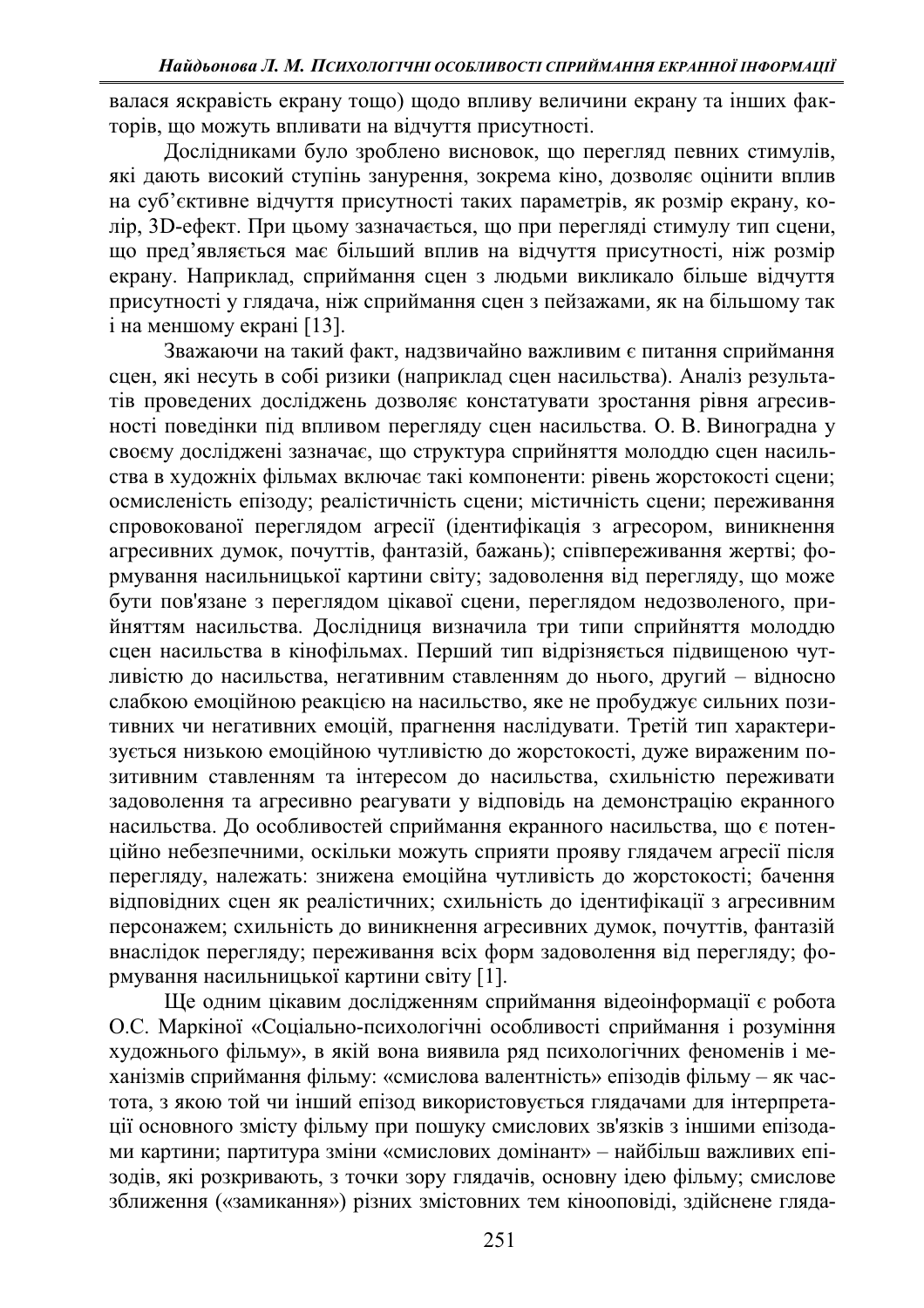валася яскравість екрану тощо) щодо впливу величини екрану та інших факторів, що можуть впливати на відчуття присутності.

Дослідниками було зроблено висновок, що перегляд певних стимулів, які дають високий ступінь занурення, зокрема кіно, дозволяє оцінити вплив на суб'єктивне відчуття присутності таких параметрів, як розмір екрану, колір, 3D-ефект. При цьому зазначається, що при перегляді стимулу тип сцени, що пред'являється має більший вплив на відчуття присутності, ніж розмір екрану. Наприклад, сприймання сцен з людьми викликало більше відчуття присутності у глядача, ніж сприймання сцен з пейзажами, як на більшому так i на меншому екранi [13].

Зважаючи на такий факт, надзвичайно важливим є питання сприймання сцен, які несуть в собі ризики (наприклад сцен насильства). Аналіз результатів проведених досліджень дозволяє констатувати зростання рівня агресивності поведінки під впливом перегляду сцен насильства. О. В. Виноградна у своєму досліджені зазначає, що структура сприйняття молоддю сцен насильства в художніх фільмах включає такі компоненти: рівень жорстокості сцени; осмисленість епізоду; реалістичність сцени; містичність сцени; переживання спровокованої переглядом агресії (ідентифікація з агресором, виникнення агресивних думок, почуттів, фантазій, бажань); співпереживання жертві; формування насильницької картини світу; задоволення від перегляду, що може бути пов'язане з переглядом цікавої сцени, переглядом недозволеного, прийняттям насильства. Дослідниця визначила три типи сприйняття молоддю сцен насильства в кінофільмах. Перший тип відрізняється підвищеною чутливістю до насильства, негативним ставленням до нього, другий - відносно слабкою емоційною реакцією на насильство, яке не пробуджує сильних позитивних чи негативних емоцій, прагнення наслідувати. Третій тип характеризується низькою емоційною чутливістю до жорстокості, дуже вираженим позитивним ставленням та інтересом до насильства, схильністю переживати задоволення та агресивно реагувати у відповідь на демонстрацію екранного насильства. До особливостей сприймання екранного насильства, що є потенційно небезпечними, оскільки можуть сприяти прояву глядачем агресії після перегляду, належать: знижена емоційна чутливість до жорстокості; бачення **відповідних сцен як реалістичних; схильність до ідентифікації з агресивним** персонажем; схильність до виникнення агресивних думок, почуттів, фантазій внаслідок перегляду; переживання всіх форм задоволення від перегляду; формування насильницької картини світу [1].

Ще одним цікавим дослідженням сприймання відеоінформації є робота О.С. Маркіної «Соціально-психологічні особливості сприймання і розуміння художнього фільму», в якій вона виявила ряд психологічних феноменів і механізмів сприймання фільму: «смислова валентність» епізодів фільму - як частота, з якою той чи інший епізод використовується глядачами для інтерпретації основного змісту фільму при пошуку смислових зв'язків з іншими епізодами картини; партитура зміни «смислових домінант» – найбільш важливих епізодів, які розкривають, з точки зору глядачів, основну ідею фільму; смислове зближення («замикання») різних змістовних тем кінооповіді, здійснене гляда-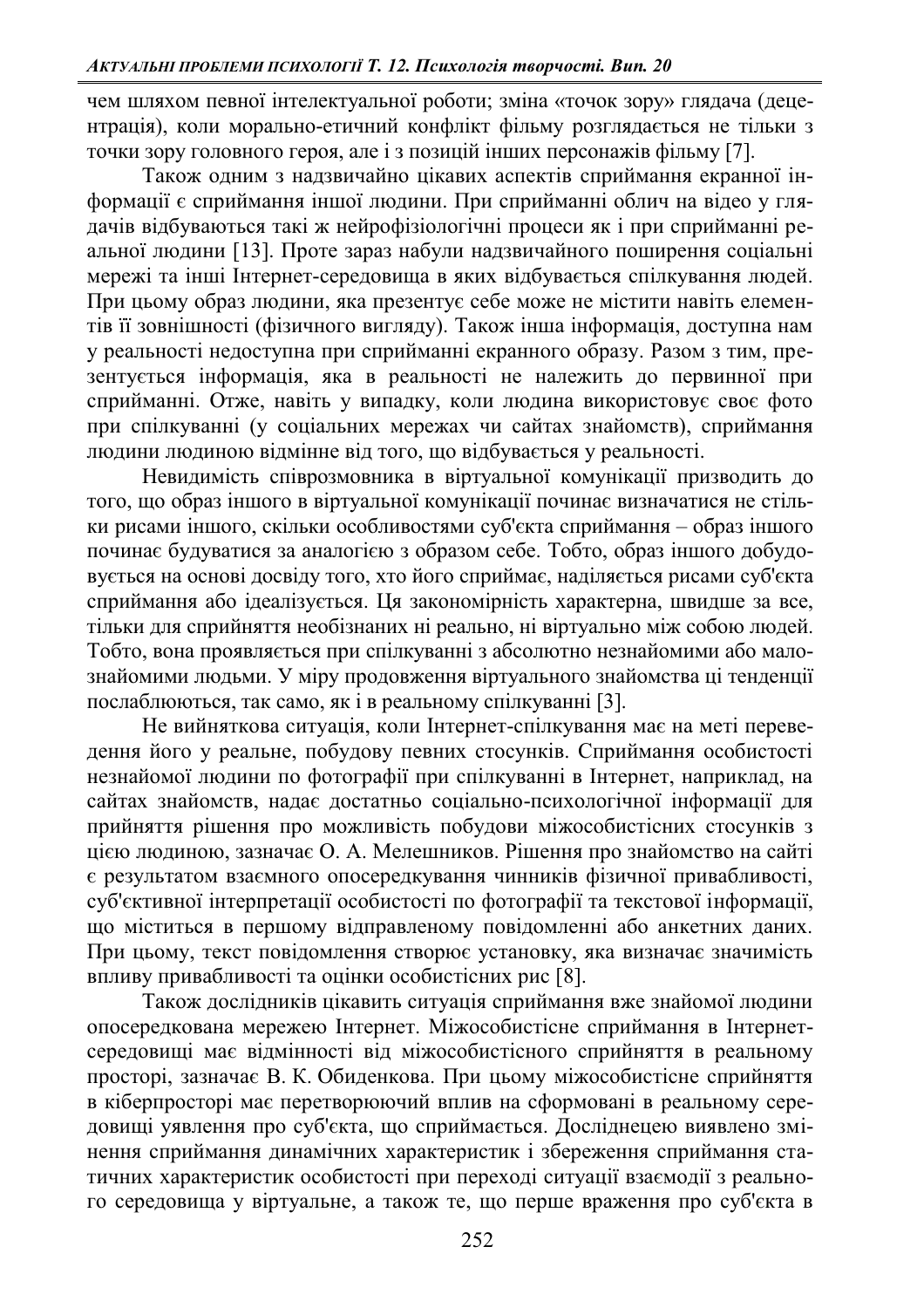чем шляхом певної інтелектуальної роботи; зміна «точок зору» глядача (децентрація), коли морально-етичний конфлікт фільму розглядається не тільки з точки зору головного героя, але і з позицій інших персонажів фільму [7].

Також одним з надзвичайно цікавих аспектів сприймання екранної інформації є сприймання іншої людини. При сприйманні облич на відео у глядачів відбуваються такі ж нейрофізіологічні процеси як і при сприйманні реальної людини [13]. Проте зараз набули надзвичайного поширення соціальні мережі та інші Інтернет-середовища в яких відбувається спілкування людей. При цьому образ людини, яка презентує себе може не містити навіть елементів її зовнішності (фізичного вигляду). Також інша інформація, доступна нам у реальності недоступна при сприйманні екранного образу. Разом з тим, презентується інформація, яка в реальності не належить до первинної при сприйманні. Отже, навіть у випадку, коли людина використовує своє фото при спілкуванні (у соціальних мережах чи сайтах знайомств), сприймання людини людиною відмінне від того, що відбувається у реальності.

Невидимість співрозмовника в віртуальної комунікації призводить до того, що образ іншого в віртуальної комунікації починає визначатися не стільки рисами іншого, скільки особливостями суб'єкта сприймання – образ іншого починає будуватися за аналогією з образом себе. Тобто, образ іншого добудовується на основі досвіду того, хто його сприймає, наділяється рисами суб'єкта сприймання або ідеалізується. Ця закономірність характерна, швидше за все, тільки для сприйняття необізнаних ні реально, ні віртуально між собою людей. Тобто, вона проявляється при спілкуванні з абсолютно незнайомими або малознайомими людьми. У міру продовження віртуального знайомства ці тенденції послаблюються, так само, як і в реальному спілкуванні [3].

Не вийняткова ситуація, коли Інтернет-спілкування має на меті переведення його у реальне, побудову певних стосунків. Сприймання особистості незнайомої людини по фотографії при спілкуванні в Інтернет, наприклад, на сайтах знайомств, надає достатньо соціально-психологічної інформації для прийняття рішення про можливість побудови міжособистісних стосунків з цією людиною, зазначає О. А. Мелешников. Рішення про знайомство на сайті € результатом взаємного опосередкування чинників фізичної привабливості, суб'єктивної інтерпретації особистості по фотографії та текстової інформації, що міститься в першому відправленому повідомленні або анкетних даних. При цьому, текст повідомлення створює установку, яка визначає значимість впливу привабливості та оцінки особистісних рис [8].

Також дослідників цікавить ситуація сприймання вже знайомої людини опосередкована мережею Інтернет. Міжособистісне сприймання в Інтернетсередовищі має відмінності від міжособистісного сприйняття в реальному просторі, зазначає В. К. Обиденкова. При цьому міжособистісне сприйняття в кіберпросторі має перетворюючий вплив на сформовані в реальному середовищі уявлення про суб'єкта, що сприймається. Досліднецею виявлено змінення сприймання динамічних характеристик і збереження сприймання статичних характеристик особистості при переході ситуації взаємодії з реального середовища у віртуальне, а також те, що перше враження про суб'єкта в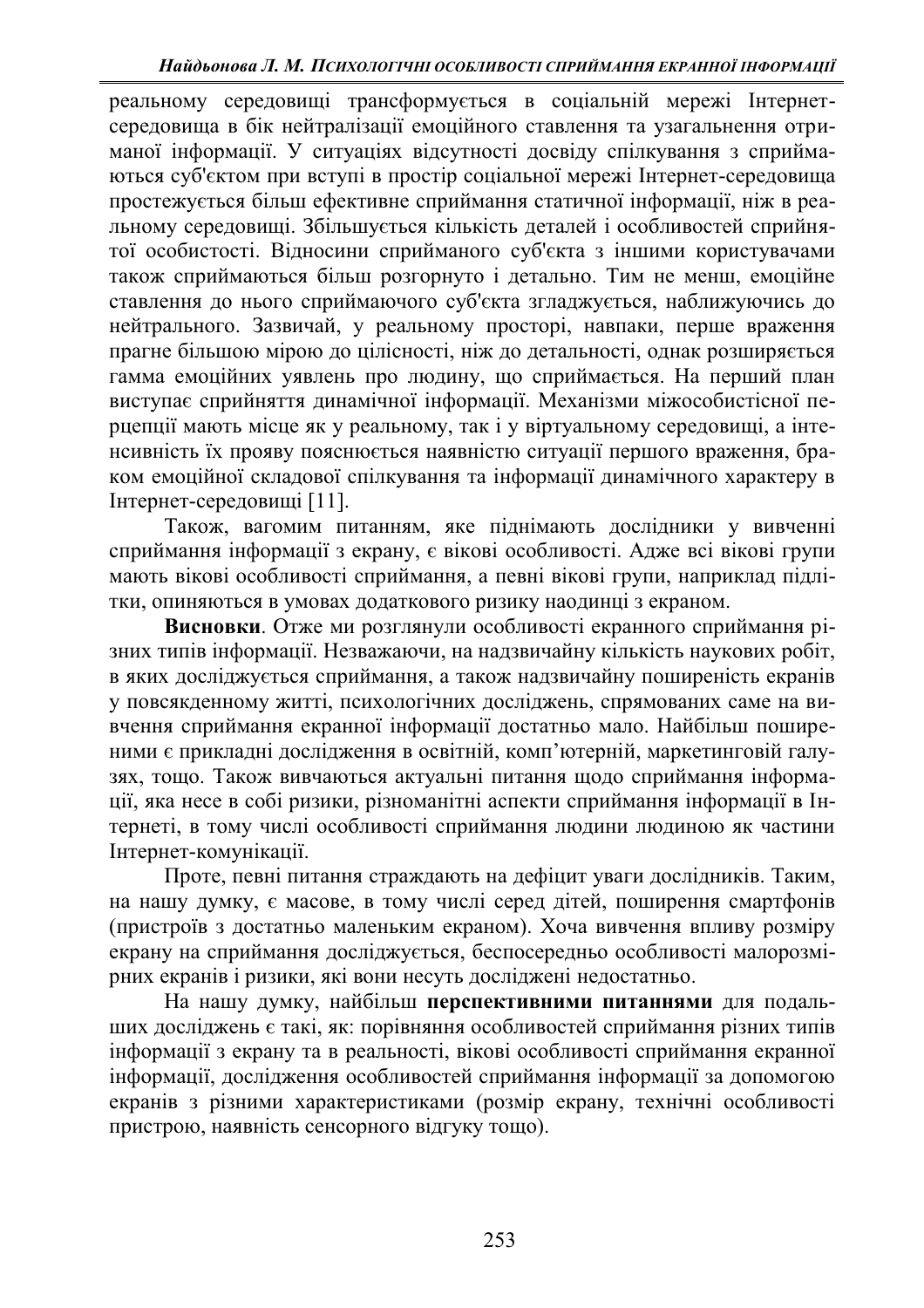реальному середовищі трансформується в соціальній мережі Інтернетсередовища в бік нейтралізації емоційного ставлення та узагальнення отриманої інформації. У ситуаціях відсутності досвіду спілкування з сприймаються суб'єктом при вступі в простір соціальної мережі Інтернет-середовища простежується більш ефективне сприймання статичної інформації, ніж в реальному середовищі. Збільшується кількість деталей і особливостей сприйнятої особистості. Відносини сприйманого суб'єкта з іншими користувачами також сприймаються більш розгорнуто і детально. Тим не менш, емоційне ставлення до нього сприймаючого суб'єкта згладжується, наближуючись до нейтрального. Зазвичай, у реальному просторі, навпаки, перше враження прагне більшою мірою до цілісності, ніж до детальності, однак розширяється гамма емоційних уявлень про людину, що сприймається. На перший план виступає сприйняття динамічної інформації. Механізми міжособистісної перцепції мають місце як у реальному, так і у віртуальному середовищі, а інтенсивність їх прояву пояснюється наявністю ситуації першого враження, браком емоційної складової спілкування та інформації динамічного характеру в Iнтернет-середовищі [11].

Також, вагомим питанням, яке піднімають дослідники у вивченні сприймання інформації з екрану, є вікові особливості. Адже всі вікові групи мають вікові особливості сприймання, а певні вікові групи, наприклад підлітки, опиняються в умовах додаткового ризику наодинці з екраном.

Висновки. Отже ми розглянули особливості екранного сприймання різних типів інформації. Незважаючи, на надзвичайну кількість наукових робіт, в яких досліджується сприймання, а також надзвичайну поширеність екранів у повсякденному житті, психологічних досліджень, спрямованих саме на вивчення сприймання екранної інформації достатньо мало. Найбільш поширеними є прикладні дослідження в освітній, комп'ютерній, маркетинговій галузях, тощо. Також вивчаються актуальні питання щодо сприймання інформації, яка несе в собі ризики, різноманітні аспекти сприймання інформації в Інтернеті, в тому числі особливості сприймання людини людиною як частини Інтернет-комунікації.

Проте, певні питання страждають на дефіцит уваги дослідників. Таким, на нашу думку, є масове, в тому числі серед дітей, поширення смартфонів (пристроїв з достатньо маленьким екраном). Хоча вивчення впливу розміру екрану на сприймання досліджується, беспосередньо особливості малорозмірних екранів і ризики, які вони несуть лосліджені нелостатньо.

На нашу думку, найбільш перспективними питаннями для подальших досліджень є такі, як: порівняння особливостей сприймання різних типів інформації з екрану та в реальності, вікові особливості сприймання екранної інформації, дослідження особливостей сприймання інформації за допомогою екранів з різними характеристиками (розмір екрану, технічні особливості пристрою, наявність сенсорного відгуку тощо).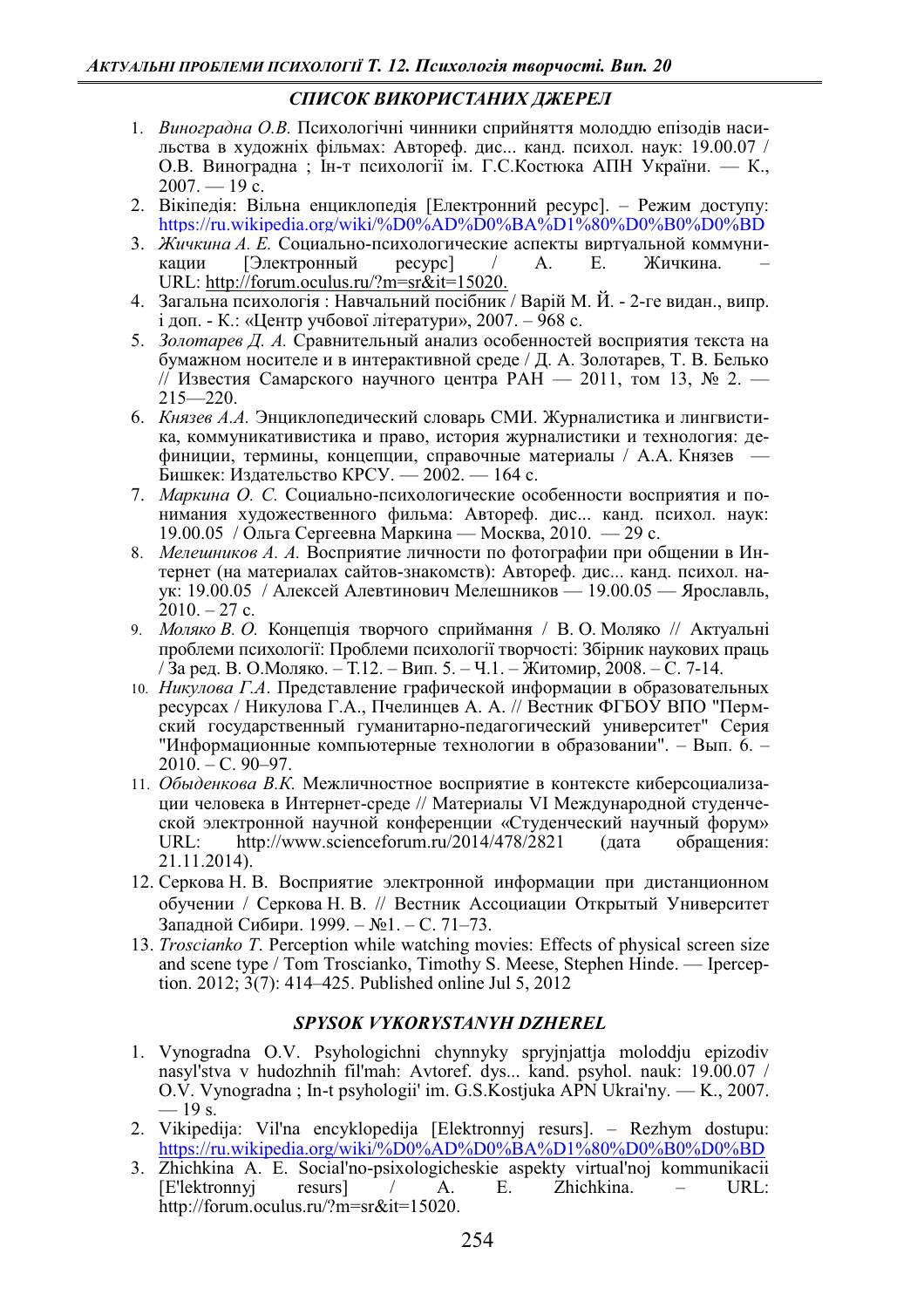## СПИСОК ВИКОРИСТАНИХ ЛЖЕРЕЛ

- 1. *Виноградна О.В.* Психологічні чинники сприйняття молоддю епізодів насильства в художніх фільмах: Автореф. дис... канд. психол. наук: 19.00.07 / О.В. Виноградна; Ін-т психології ім. Г.С. Костюка АПН України. — К.,  $2007. - 19$  c.
- 2. Вікіпедія: Вільна енциклопедія [Електронний ресурс]. Режим доступу: https://ru.wikipedia.org/wiki/%D0%AD%D0%BA%D1%80%D0%B0%D0%BD
- 3. *Жичкина А. Е.* Социально-психологические аспекты виртуальной коммуни-<br>кации [Электронный ресурс] / А. Е. Жичкина. кации [Электронный ресурс] / URL: http://forum.oculus.ru/?m=sr&it=15020.
- 4. Загальна психологія: Навчальний посібник / Варій М. Й. 2-ге видан., випр. і доп. - К.: «Центр учбової літератури», 2007. – 968 с.
- 5. Золотарев Д. А. Сравнительный анализ особенностей восприятия текста на бумажном носителе и в интерактивной среде / Д. А. Золотарев, Т. В. Белько // Известия Самарского научного центра РАН  $-$  2011, том 13,  $\mathbb{N}$  2.  $215 - 220$ .
- 6. *Князев А.А.* Энциклопедический словарь СМИ. Журналистика и лингвистика, коммуникативистика и право, история журналистики и технология: дефиниции, термины, концепции, справочные материалы / А.А. Князев – Бишкек: Издательство КРСУ. — 2002. — 164 с.
- 7. *Маркина О. С.* Социально-психологические особенности восприятия и понимания художественного фильма: Автореф. дис... канд. психол. наук: 19.00.05 / Ольга Сергеевна Маркина — Москва, 2010. — 29 с.
- 8. *Мелешников А. А.* Восприятие личности по фотографии при общении в Интернет (на материалах сайтов-знакомств): Автореф. дис... канд. психол. наук: 19.00.05 / Алексей Алевтинович Мелешников — 19.00.05 — Ярославль,  $2010. - 27$  c.
- 9. *Моляко В. О.* Концепція творчого сприймання / В. О. Моляко // Актуальні проблеми психології: Проблеми психології творчості: Збірник наукових праць / За ред. В. О.Моляко. – Т.12. – Вип. 5. – Ч.1. – Житомир, 2008. – С. 7-14.
- 10. *Никулова Г.А*. Представление графической информации в образовательных ресурсах / Никулова Г.А., Пчелинцев А. А. // Вестник ФГБОУ ВПО "Пермский государственный гуманитарно-педагогический университет" Серия "Информационные компьютерные технологии в образовании". - Вып. 6. - $2010. - C. 90 - 97.$
- 11. Обыденкова В.К. Межличностное восприятие в контексте киберсоциализации человека в Интернет-среде // Материалы VI Международной студенческой электронной научной конференции «Студенческий научный форум»<br>URL: http://www.scienceforum.ru/2014/478/2821 (дата обращения: http://www.scienceforum.ru/2014/478/2821 (дата обращения: 21.11.2014).
- 12. Серкова Н. В. Восприятие электронной информации при дистанционном обучении / Серкова Н. В. // Вестник Ассоциации Открытый Университет Западной Сибири. 1999. – №1. – С. 71–73.
- 13. *Troscianko T*. Perception while watching movies: Effects of physical screen size and scene type / Tom Troscianko, Timothy S. Meese, Stephen Hinde. — Iperception. 2012;  $3(7)$ : 414–425. Published online Jul 5, 2012

## *SPYSOK VYKORYSTANYH DZHEREL*

- 1. Vynogradna O.V. Psyhologichni chynnyky spryjnjattja moloddju epizodiv nasyl'stva v hudozhnih fil'mah: Avtoref. dys... kand. psyhol. nauk: 19.00.07 / O.V. Vynogradna ; In-t psyhologii' im. G.S. Kostjuka APN Ukrai'ny. — K., 2007.  $-19$  s.
- 2. Vikipedija: Vil'na encyklopedija [Elektronnyj resurs]. Rezhym dostupu: https://ru.wikipedia.org/wiki/%D0%AD%D0%BA%D1%80%D0%B0%D0%BD
- 3. Zhichkina A. E. Social'no-psixologicheskie aspekty virtual'noj kommunikacii [E'lektronnyj resurs] / A. E. Zhichkina. – URL: http://forum.oculus.ru/?m=sr&it=15020.